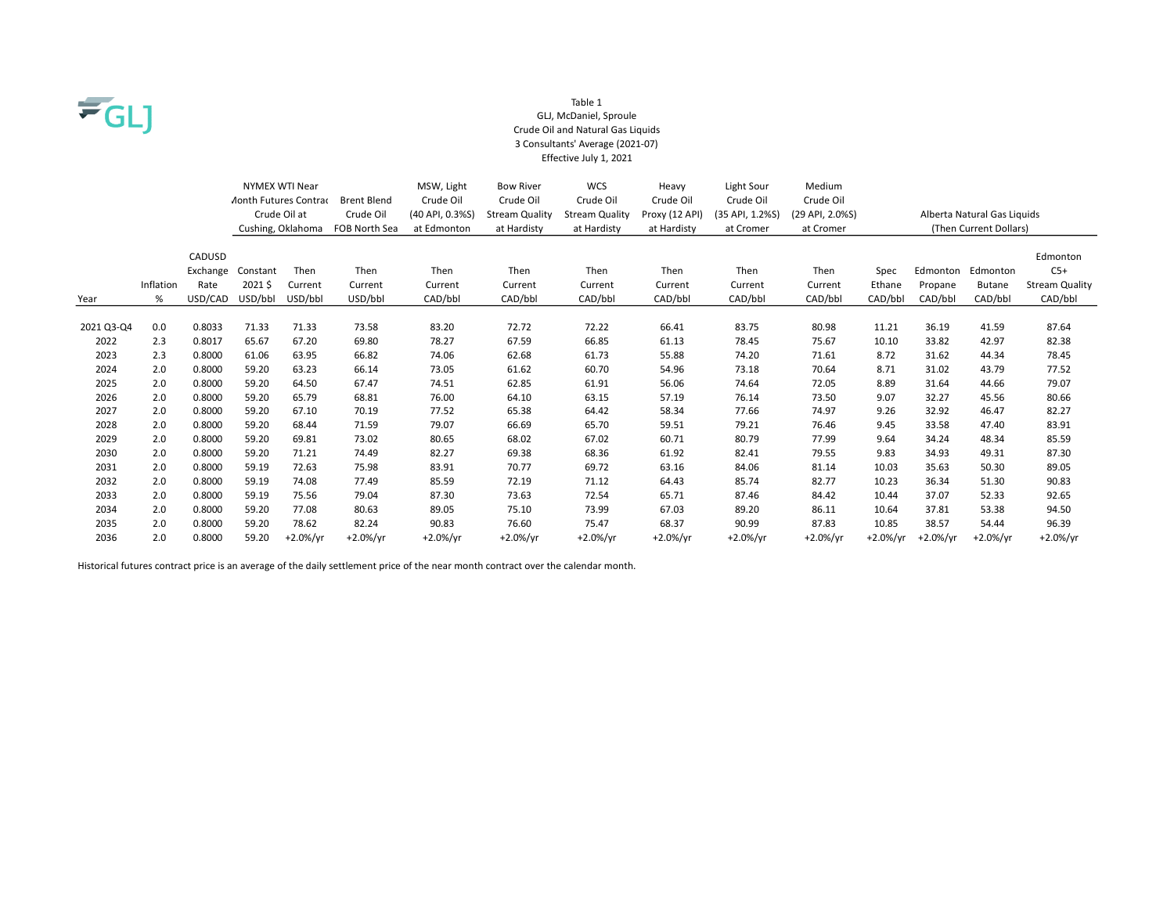

#### Table 1 GLJ, McDaniel, Sproule Crude Oil and Natural Gas Liquids 3 Consultants' Average (2021-07) Effective July 1, 2021

|            |           |                                                           |                   | <b>NYMEX WTI Near</b> |                 | MSW, Light            | <b>Bow River</b>      | <b>WCS</b>     | Heavy           | Light Sour      | Medium                      |          |          |                        |                       |
|------------|-----------|-----------------------------------------------------------|-------------------|-----------------------|-----------------|-----------------------|-----------------------|----------------|-----------------|-----------------|-----------------------------|----------|----------|------------------------|-----------------------|
|            |           | <b><i>Aonth Futures Contrac</i></b><br><b>Brent Blend</b> |                   |                       | Crude Oil       | Crude Oil             | Crude Oil             | Crude Oil      | Crude Oil       | Crude Oil       |                             |          |          |                        |                       |
|            |           | Crude Oil at<br>Crude Oil                                 |                   |                       | (40 API, 0.3%S) | <b>Stream Quality</b> | <b>Stream Quality</b> | Proxy (12 API) | (35 API, 1.2%S) | (29 API, 2.0%S) | Alberta Natural Gas Liquids |          |          |                        |                       |
|            |           |                                                           | Cushing, Oklahoma |                       | FOB North Sea   | at Edmonton           | at Hardisty           | at Hardisty    | at Hardisty     | at Cromer       | at Cromer                   |          |          | (Then Current Dollars) |                       |
|            |           |                                                           |                   |                       |                 |                       |                       |                |                 |                 |                             |          |          |                        |                       |
|            |           | CADUSD                                                    |                   |                       |                 |                       |                       |                |                 |                 |                             |          |          |                        | Edmonton              |
|            |           | Exchange                                                  | Constant          | Then                  | Then            | Then                  | Then                  | Then           | Then            | Then            | Then                        | Spec     | Edmonton | Edmonton               | $C5+$                 |
|            | Inflation | Rate                                                      | 2021\$            | Current               | Current         | Current               | Current               | Current        | Current         | Current         | Current                     | Ethane   | Propane  | <b>Butane</b>          | <b>Stream Quality</b> |
| Year       | %         | USD/CAD                                                   | USD/bbl           | USD/bbl               | USD/bbl         | CAD/bbl               | CAD/bbl               | CAD/bbl        | CAD/bbl         | CAD/bbl         | CAD/bbl                     | CAD/bbl  | CAD/bbl  | CAD/bbl                | CAD/bbl               |
|            |           |                                                           |                   |                       |                 |                       |                       |                |                 |                 |                             |          |          |                        |                       |
| 2021 Q3-Q4 | 0.0       | 0.8033                                                    | 71.33             | 71.33                 | 73.58           | 83.20                 | 72.72                 | 72.22          | 66.41           | 83.75           | 80.98                       | 11.21    | 36.19    | 41.59                  | 87.64                 |
| 2022       | 2.3       | 0.8017                                                    | 65.67             | 67.20                 | 69.80           | 78.27                 | 67.59                 | 66.85          | 61.13           | 78.45           | 75.67                       | 10.10    | 33.82    | 42.97                  | 82.38                 |
| 2023       | 2.3       | 0.8000                                                    | 61.06             | 63.95                 | 66.82           | 74.06                 | 62.68                 | 61.73          | 55.88           | 74.20           | 71.61                       | 8.72     | 31.62    | 44.34                  | 78.45                 |
| 2024       | 2.0       | 0.8000                                                    | 59.20             | 63.23                 | 66.14           | 73.05                 | 61.62                 | 60.70          | 54.96           | 73.18           | 70.64                       | 8.71     | 31.02    | 43.79                  | 77.52                 |
| 2025       | 2.0       | 0.8000                                                    | 59.20             | 64.50                 | 67.47           | 74.51                 | 62.85                 | 61.91          | 56.06           | 74.64           | 72.05                       | 8.89     | 31.64    | 44.66                  | 79.07                 |
| 2026       | 2.0       | 0.8000                                                    | 59.20             | 65.79                 | 68.81           | 76.00                 | 64.10                 | 63.15          | 57.19           | 76.14           | 73.50                       | 9.07     | 32.27    | 45.56                  | 80.66                 |
| 2027       | 2.0       | 0.8000                                                    | 59.20             | 67.10                 | 70.19           | 77.52                 | 65.38                 | 64.42          | 58.34           | 77.66           | 74.97                       | 9.26     | 32.92    | 46.47                  | 82.27                 |
| 2028       | 2.0       | 0.8000                                                    | 59.20             | 68.44                 | 71.59           | 79.07                 | 66.69                 | 65.70          | 59.51           | 79.21           | 76.46                       | 9.45     | 33.58    | 47.40                  | 83.91                 |
| 2029       | 2.0       | 0.8000                                                    | 59.20             | 69.81                 | 73.02           | 80.65                 | 68.02                 | 67.02          | 60.71           | 80.79           | 77.99                       | 9.64     | 34.24    | 48.34                  | 85.59                 |
| 2030       | 2.0       | 0.8000                                                    | 59.20             | 71.21                 | 74.49           | 82.27                 | 69.38                 | 68.36          | 61.92           | 82.41           | 79.55                       | 9.83     | 34.93    | 49.31                  | 87.30                 |
| 2031       | 2.0       | 0.8000                                                    | 59.19             | 72.63                 | 75.98           | 83.91                 | 70.77                 | 69.72          | 63.16           | 84.06           | 81.14                       | 10.03    | 35.63    | 50.30                  | 89.05                 |
| 2032       | 2.0       | 0.8000                                                    | 59.19             | 74.08                 | 77.49           | 85.59                 | 72.19                 | 71.12          | 64.43           | 85.74           | 82.77                       | 10.23    | 36.34    | 51.30                  | 90.83                 |
| 2033       | 2.0       | 0.8000                                                    | 59.19             | 75.56                 | 79.04           | 87.30                 | 73.63                 | 72.54          | 65.71           | 87.46           | 84.42                       | 10.44    | 37.07    | 52.33                  | 92.65                 |
| 2034       | 2.0       | 0.8000                                                    | 59.20             | 77.08                 | 80.63           | 89.05                 | 75.10                 | 73.99          | 67.03           | 89.20           | 86.11                       | 10.64    | 37.81    | 53.38                  | 94.50                 |
| 2035       | 2.0       | 0.8000                                                    | 59.20             | 78.62                 | 82.24           | 90.83                 | 76.60                 | 75.47          | 68.37           | 90.99           | 87.83                       | 10.85    | 38.57    | 54.44                  | 96.39                 |
| 2036       | 2.0       | 0.8000                                                    | 59.20             | $+2.0%/vr$            | $+2.0%/yr$      | $+2.0\%/yr$           | $+2.0%/yr$            | $+2.0\%/yr$    | $+2.0%/vr$      | $+2.0\%/yr$     | $+2.0%/vr$                  | +2.0%/yr | +2.0%/vr | $+2.0\%/yr$            | $+2.0\%/yr$           |

Historical futures contract price is an average of the daily settlement price of the near month contract over the calendar month.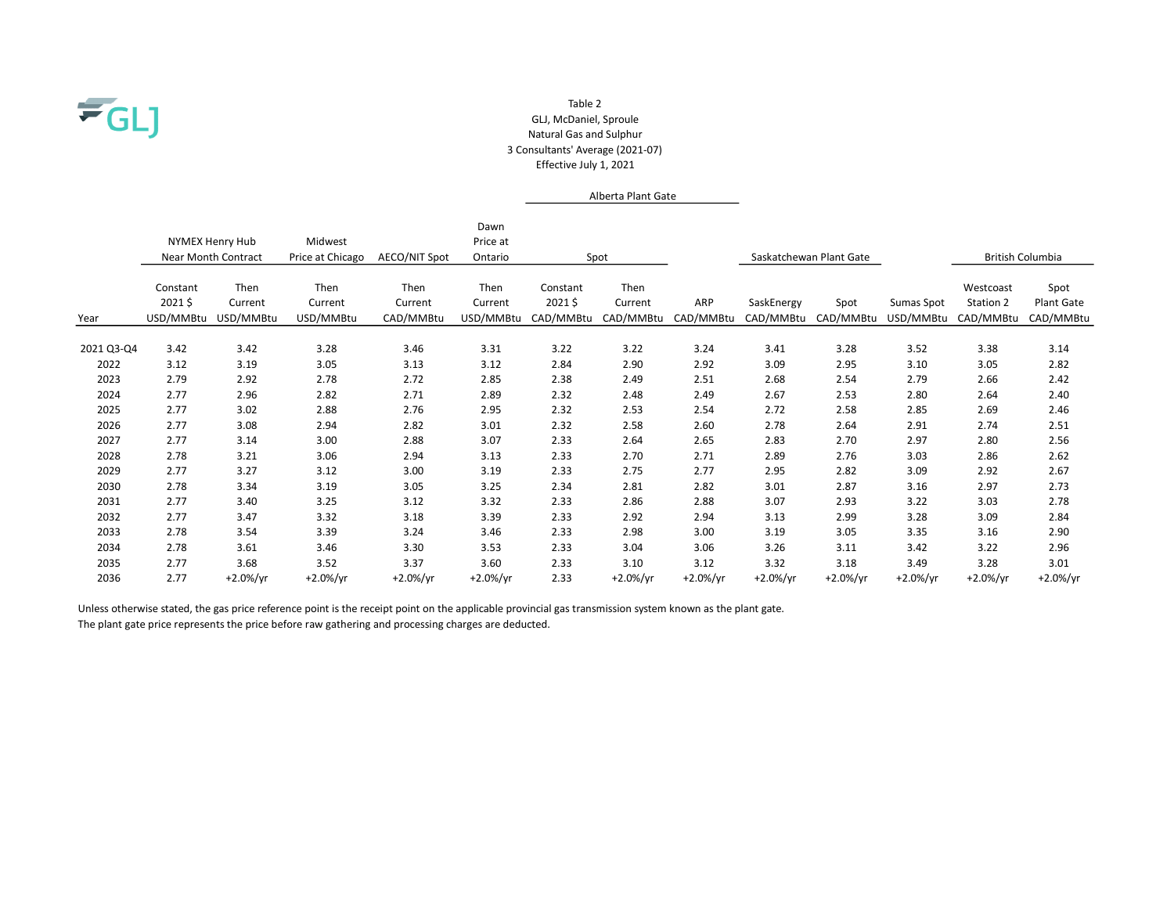

### Table 2 GLJ, McDaniel, Sproule Natural Gas and Sulphur 3 Consultants' Average (2021-07) Effective July 1, 2021

# Alberta Plant Gate

|            | NYMEX Henry Hub<br><b>Near Month Contract</b> |                              | Midwest<br>Price at Chicago  | <b>AECO/NIT Spot</b>         | Dawn<br>Price at<br>Ontario  |                                 | Spot                         |                  |                         | Saskatchewan Plant Gate |                         | <b>British Columbia</b>             |                                 |
|------------|-----------------------------------------------|------------------------------|------------------------------|------------------------------|------------------------------|---------------------------------|------------------------------|------------------|-------------------------|-------------------------|-------------------------|-------------------------------------|---------------------------------|
| Year       | Constant<br>2021\$<br>USD/MMBtu               | Then<br>Current<br>USD/MMBtu | Then<br>Current<br>USD/MMBtu | Then<br>Current<br>CAD/MMBtu | Then<br>Current<br>USD/MMBtu | Constant<br>2021\$<br>CAD/MMBtu | Then<br>Current<br>CAD/MMBtu | ARP<br>CAD/MMBtu | SaskEnergy<br>CAD/MMBtu | Spot<br>CAD/MMBtu       | Sumas Spot<br>USD/MMBtu | Westcoast<br>Station 2<br>CAD/MMBtu | Spot<br>Plant Gate<br>CAD/MMBtu |
| 2021 Q3-Q4 | 3.42                                          | 3.42                         | 3.28                         | 3.46                         | 3.31                         | 3.22                            | 3.22                         | 3.24             | 3.41                    | 3.28                    | 3.52                    | 3.38                                | 3.14                            |
| 2022       | 3.12                                          | 3.19                         | 3.05                         | 3.13                         | 3.12                         | 2.84                            | 2.90                         | 2.92             | 3.09                    | 2.95                    | 3.10                    | 3.05                                | 2.82                            |
| 2023       | 2.79                                          | 2.92                         | 2.78                         | 2.72                         | 2.85                         | 2.38                            | 2.49                         | 2.51             | 2.68                    | 2.54                    | 2.79                    | 2.66                                | 2.42                            |
| 2024       | 2.77                                          | 2.96                         | 2.82                         | 2.71                         | 2.89                         | 2.32                            | 2.48                         | 2.49             | 2.67                    | 2.53                    | 2.80                    | 2.64                                | 2.40                            |
| 2025       | 2.77                                          | 3.02                         | 2.88                         | 2.76                         | 2.95                         | 2.32                            | 2.53                         | 2.54             | 2.72                    | 2.58                    | 2.85                    | 2.69                                | 2.46                            |
| 2026       | 2.77                                          | 3.08                         | 2.94                         | 2.82                         | 3.01                         | 2.32                            | 2.58                         | 2.60             | 2.78                    | 2.64                    | 2.91                    | 2.74                                | 2.51                            |
| 2027       | 2.77                                          | 3.14                         | 3.00                         | 2.88                         | 3.07                         | 2.33                            | 2.64                         | 2.65             | 2.83                    | 2.70                    | 2.97                    | 2.80                                | 2.56                            |
| 2028       | 2.78                                          | 3.21                         | 3.06                         | 2.94                         | 3.13                         | 2.33                            | 2.70                         | 2.71             | 2.89                    | 2.76                    | 3.03                    | 2.86                                | 2.62                            |
| 2029       | 2.77                                          | 3.27                         | 3.12                         | 3.00                         | 3.19                         | 2.33                            | 2.75                         | 2.77             | 2.95                    | 2.82                    | 3.09                    | 2.92                                | 2.67                            |
| 2030       | 2.78                                          | 3.34                         | 3.19                         | 3.05                         | 3.25                         | 2.34                            | 2.81                         | 2.82             | 3.01                    | 2.87                    | 3.16                    | 2.97                                | 2.73                            |
| 2031       | 2.77                                          | 3.40                         | 3.25                         | 3.12                         | 3.32                         | 2.33                            | 2.86                         | 2.88             | 3.07                    | 2.93                    | 3.22                    | 3.03                                | 2.78                            |
| 2032       | 2.77                                          | 3.47                         | 3.32                         | 3.18                         | 3.39                         | 2.33                            | 2.92                         | 2.94             | 3.13                    | 2.99                    | 3.28                    | 3.09                                | 2.84                            |
| 2033       | 2.78                                          | 3.54                         | 3.39                         | 3.24                         | 3.46                         | 2.33                            | 2.98                         | 3.00             | 3.19                    | 3.05                    | 3.35                    | 3.16                                | 2.90                            |
| 2034       | 2.78                                          | 3.61                         | 3.46                         | 3.30                         | 3.53                         | 2.33                            | 3.04                         | 3.06             | 3.26                    | 3.11                    | 3.42                    | 3.22                                | 2.96                            |
| 2035       | 2.77                                          | 3.68                         | 3.52                         | 3.37                         | 3.60                         | 2.33                            | 3.10                         | 3.12             | 3.32                    | 3.18                    | 3.49                    | 3.28                                | 3.01                            |
| 2036       | 2.77                                          | $+2.0\%/yr$                  | $+2.0\%/yr$                  | $+2.0\%/yr$                  | $+2.0\%/yr$                  | 2.33                            | +2.0%/yr                     | $+2.0\%/yr$      | $+2.0\%/yr$             | $+2.0\%/yr$             | $+2.0\%/yr$             | $+2.0%$ /yr                         | $+2.0\%/yr$                     |

The plant gate price represents the price before raw gathering and processing charges are deducted. Unless otherwise stated, the gas price reference point is the receipt point on the applicable provincial gas transmission system known as the plant gate.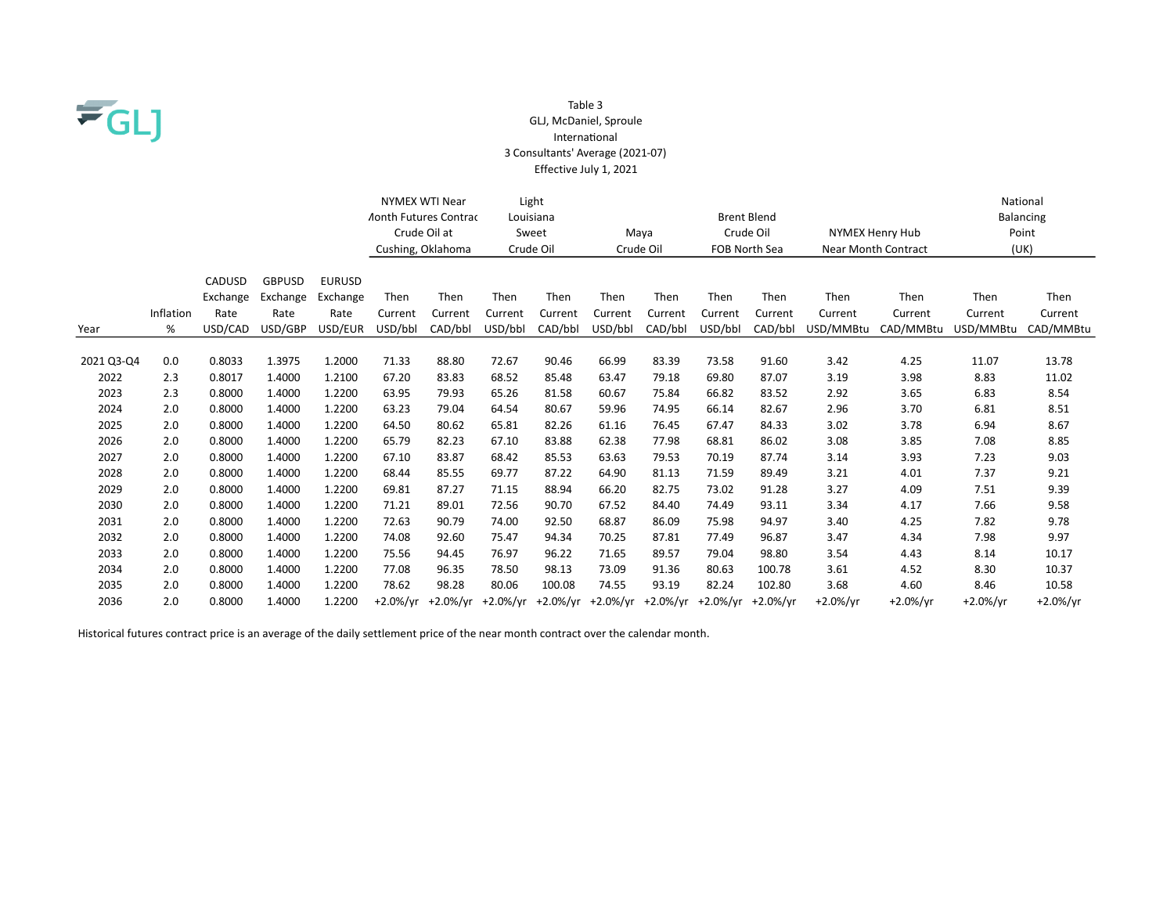

### Table 3 GLJ, McDaniel, Sproule InternaƟonal 3 Consultants' Average (2021-07) Effective July 1, 2021

|            |           |          |               |               | NYMEX WTI Near<br><b>Aonth Futures Contrac</b> |              | Louisiana                                                               | Light                                                                 |                   |         |         | <b>Brent Blend</b> |            |                        |            | National<br>Balancing |
|------------|-----------|----------|---------------|---------------|------------------------------------------------|--------------|-------------------------------------------------------------------------|-----------------------------------------------------------------------|-------------------|---------|---------|--------------------|------------|------------------------|------------|-----------------------|
|            |           |          |               |               |                                                | Crude Oil at |                                                                         | Sweet                                                                 | Crude Oil<br>Maya |         |         |                    |            | <b>NYMEX Henry Hub</b> | Point      |                       |
|            |           |          |               |               | Cushing, Oklahoma                              |              |                                                                         | Crude Oil<br><b>Near Month Contract</b><br>Crude Oil<br>FOB North Sea |                   |         |         |                    | (UK)       |                        |            |                       |
|            |           |          |               |               |                                                |              |                                                                         |                                                                       |                   |         |         |                    |            |                        |            |                       |
|            |           | CADUSD   | <b>GBPUSD</b> | <b>EURUSD</b> |                                                |              |                                                                         |                                                                       |                   |         |         |                    |            |                        |            |                       |
|            |           | Exchange | Exchange      | Exchange      | Then                                           | Then         | Then                                                                    | Then                                                                  | Then              | Then    | Then    | Then               | Then       | Then                   | Then       | Then                  |
|            | Inflation | Rate     | Rate          | Rate          | Current                                        | Current      | Current                                                                 | Current                                                               | Current           | Current | Current | Current            | Current    | Current                | Current    | Current               |
| Year       | %         | USD/CAD  | USD/GBP       | USD/EUR       | USD/bbl                                        | CAD/bbl      | USD/bbl                                                                 | CAD/bbl                                                               | USD/bbl           | CAD/bbl | USD/bbl | CAD/bbl            | USD/MMBtu  | CAD/MMBtu              | USD/MMBtu  | CAD/MMBtu             |
|            |           |          |               |               |                                                |              |                                                                         |                                                                       |                   |         |         |                    |            |                        |            |                       |
| 2021 Q3-Q4 | 0.0       | 0.8033   | 1.3975        | 1.2000        | 71.33                                          | 88.80        | 72.67                                                                   | 90.46                                                                 | 66.99             | 83.39   | 73.58   | 91.60              | 3.42       | 4.25                   | 11.07      | 13.78                 |
| 2022       | 2.3       | 0.8017   | 1.4000        | 1.2100        | 67.20                                          | 83.83        | 68.52                                                                   | 85.48                                                                 | 63.47             | 79.18   | 69.80   | 87.07              | 3.19       | 3.98                   | 8.83       | 11.02                 |
| 2023       | 2.3       | 0.8000   | 1.4000        | 1.2200        | 63.95                                          | 79.93        | 65.26                                                                   | 81.58                                                                 | 60.67             | 75.84   | 66.82   | 83.52              | 2.92       | 3.65                   | 6.83       | 8.54                  |
| 2024       | 2.0       | 0.8000   | 1.4000        | 1.2200        | 63.23                                          | 79.04        | 64.54                                                                   | 80.67                                                                 | 59.96             | 74.95   | 66.14   | 82.67              | 2.96       | 3.70                   | 6.81       | 8.51                  |
| 2025       | 2.0       | 0.8000   | 1.4000        | 1.2200        | 64.50                                          | 80.62        | 65.81                                                                   | 82.26                                                                 | 61.16             | 76.45   | 67.47   | 84.33              | 3.02       | 3.78                   | 6.94       | 8.67                  |
| 2026       | 2.0       | 0.8000   | 1.4000        | 1.2200        | 65.79                                          | 82.23        | 67.10                                                                   | 83.88                                                                 | 62.38             | 77.98   | 68.81   | 86.02              | 3.08       | 3.85                   | 7.08       | 8.85                  |
| 2027       | 2.0       | 0.8000   | 1.4000        | 1.2200        | 67.10                                          | 83.87        | 68.42                                                                   | 85.53                                                                 | 63.63             | 79.53   | 70.19   | 87.74              | 3.14       | 3.93                   | 7.23       | 9.03                  |
| 2028       | 2.0       | 0.8000   | 1.4000        | 1.2200        | 68.44                                          | 85.55        | 69.77                                                                   | 87.22                                                                 | 64.90             | 81.13   | 71.59   | 89.49              | 3.21       | 4.01                   | 7.37       | 9.21                  |
| 2029       | 2.0       | 0.8000   | 1.4000        | 1.2200        | 69.81                                          | 87.27        | 71.15                                                                   | 88.94                                                                 | 66.20             | 82.75   | 73.02   | 91.28              | 3.27       | 4.09                   | 7.51       | 9.39                  |
| 2030       | 2.0       | 0.8000   | 1.4000        | 1.2200        | 71.21                                          | 89.01        | 72.56                                                                   | 90.70                                                                 | 67.52             | 84.40   | 74.49   | 93.11              | 3.34       | 4.17                   | 7.66       | 9.58                  |
| 2031       | 2.0       | 0.8000   | 1.4000        | 1.2200        | 72.63                                          | 90.79        | 74.00                                                                   | 92.50                                                                 | 68.87             | 86.09   | 75.98   | 94.97              | 3.40       | 4.25                   | 7.82       | 9.78                  |
| 2032       | 2.0       | 0.8000   | 1.4000        | 1.2200        | 74.08                                          | 92.60        | 75.47                                                                   | 94.34                                                                 | 70.25             | 87.81   | 77.49   | 96.87              | 3.47       | 4.34                   | 7.98       | 9.97                  |
| 2033       | 2.0       | 0.8000   | 1.4000        | 1.2200        | 75.56                                          | 94.45        | 76.97                                                                   | 96.22                                                                 | 71.65             | 89.57   | 79.04   | 98.80              | 3.54       | 4.43                   | 8.14       | 10.17                 |
| 2034       | 2.0       | 0.8000   | 1.4000        | 1.2200        | 77.08                                          | 96.35        | 78.50                                                                   | 98.13                                                                 | 73.09             | 91.36   | 80.63   | 100.78             | 3.61       | 4.52                   | 8.30       | 10.37                 |
| 2035       | 2.0       | 0.8000   | 1.4000        | 1.2200        | 78.62                                          | 98.28        | 80.06                                                                   | 100.08                                                                | 74.55             | 93.19   | 82.24   | 102.80             | 3.68       | 4.60                   | 8.46       | 10.58                 |
| 2036       | 2.0       | 0.8000   | 1.4000        | 1.2200        |                                                |              | +2.0%/yr +2.0%/yr +2.0%/yr +2.0%/yr +2.0%/yr +2.0%/yr +2.0%/yr +2.0%/yr |                                                                       |                   |         |         |                    | $+2.0%/yr$ | $+2.0%/vr$             | $+2.0%/yr$ | $+2.0\%/yr$           |

Historical futures contract price is an average of the daily settlement price of the near month contract over the calendar month.